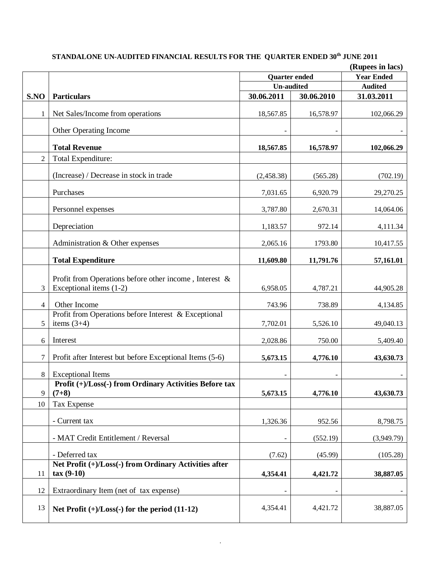|                | (Rupees in lacs)                                                                     |                      |            |                   |
|----------------|--------------------------------------------------------------------------------------|----------------------|------------|-------------------|
|                |                                                                                      | <b>Quarter ended</b> |            | <b>Year Ended</b> |
|                |                                                                                      | <b>Un-audited</b>    |            | <b>Audited</b>    |
| S.NO           | <b>Particulars</b>                                                                   | 30.06.2011           | 30.06.2010 | 31.03.2011        |
| 1              | Net Sales/Income from operations                                                     | 18,567.85            | 16,578.97  | 102,066.29        |
|                | Other Operating Income                                                               |                      |            |                   |
|                | <b>Total Revenue</b>                                                                 | 18,567.85            | 16,578.97  | 102,066.29        |
| $\overline{2}$ | Total Expenditure:                                                                   |                      |            |                   |
|                | (Increase) / Decrease in stock in trade                                              | (2,458.38)           | (565.28)   | (702.19)          |
|                | Purchases                                                                            | 7,031.65             | 6,920.79   | 29,270.25         |
|                | Personnel expenses                                                                   | 3,787.80             | 2,670.31   | 14,064.06         |
|                | Depreciation                                                                         | 1,183.57             | 972.14     | 4,111.34          |
|                | Administration & Other expenses                                                      | 2,065.16             | 1793.80    | 10,417.55         |
|                | <b>Total Expenditure</b>                                                             | 11,609.80            | 11,791.76  | 57,161.01         |
| 3              | Profit from Operations before other income, Interest $\&$<br>Exceptional items (1-2) | 6,958.05             | 4,787.21   | 44,905.28         |
| 4              | Other Income                                                                         | 743.96               | 738.89     | 4,134.85          |
| 5              | Profit from Operations before Interest & Exceptional<br>items $(3+4)$                | 7,702.01             | 5,526.10   | 49,040.13         |
| 6              | Interest                                                                             | 2,028.86             | 750.00     | 5,409.40          |
| 7              | Profit after Interest but before Exceptional Items (5-6)                             | 5,673.15             | 4,776.10   | 43,630.73         |
| $\,8\,$        | <b>Exceptional Items</b>                                                             |                      |            |                   |
|                | Profit (+)/Loss(-) from Ordinary Activities Before tax                               |                      |            |                   |
| 9              | $(7+8)$                                                                              | 5,673.15             | 4,776.10   | 43,630.73         |
| 10             | Tax Expense                                                                          |                      |            |                   |
|                | - Current tax                                                                        | 1,326.36             | 952.56     | 8,798.75          |
|                | - MAT Credit Entitlement / Reversal                                                  |                      | (552.19)   | (3,949.79)        |
|                | - Deferred tax                                                                       | (7.62)               | (45.99)    | (105.28)          |
| 11             | Net Profit (+)/Loss(-) from Ordinary Activities after<br>$tax(9-10)$                 | 4,354.41             | 4,421.72   | 38,887.05         |
| 12             | Extraordinary Item (net of tax expense)                                              |                      |            |                   |
| 13             | Net Profit $(+)/$ Loss $(-)$ for the period $(11-12)$                                | 4,354.41             | 4,421.72   | 38,887.05         |

## **STANDALONE UN-AUDITED FINANCIAL RESULTS FOR THE QUARTER ENDED 30th JUNE 2011**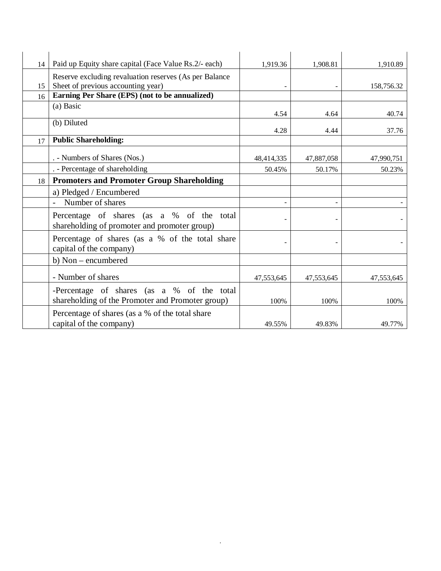| 14 | Paid up Equity share capital (Face Value Rs.2/- each)                                          | 1,919.36   | 1,908.81   | 1,910.89   |
|----|------------------------------------------------------------------------------------------------|------------|------------|------------|
| 15 | Reserve excluding revaluation reserves (As per Balance<br>Sheet of previous accounting year)   |            |            | 158,756.32 |
| 16 | Earning Per Share (EPS) (not to be annualized)                                                 |            |            |            |
|    | (a) Basic                                                                                      | 4.54       | 4.64       | 40.74      |
|    | (b) Diluted                                                                                    | 4.28       | 4.44       | 37.76      |
| 17 | <b>Public Shareholding:</b>                                                                    |            |            |            |
|    | . - Numbers of Shares (Nos.)                                                                   | 48,414,335 | 47,887,058 | 47,990,751 |
|    | . - Percentage of shareholding                                                                 | 50.45%     | 50.17%     | 50.23%     |
| 18 | <b>Promoters and Promoter Group Shareholding</b>                                               |            |            |            |
|    | a) Pledged / Encumbered                                                                        |            |            |            |
|    | Number of shares                                                                               |            |            |            |
|    | Percentage of shares (as a % of the<br>total<br>shareholding of promoter and promoter group)   |            |            |            |
|    | Percentage of shares (as a % of the total share<br>capital of the company)                     |            |            |            |
|    | b) Non – encumbered                                                                            |            |            |            |
|    | - Number of shares                                                                             | 47,553,645 | 47,553,645 | 47,553,645 |
|    | -Percentage of shares (as a % of the total<br>shareholding of the Promoter and Promoter group) | 100%       | 100%       | 100%       |
|    | Percentage of shares (as a % of the total share<br>capital of the company)                     | 49.55%     | 49.83%     | 49.77%     |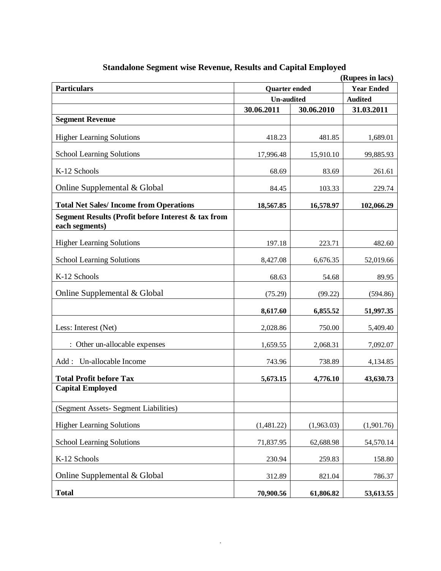| (Rupees in lacs)                                                     |                      |                   |                |
|----------------------------------------------------------------------|----------------------|-------------------|----------------|
| <b>Particulars</b>                                                   | <b>Quarter</b> ended | <b>Year Ended</b> |                |
|                                                                      | <b>Un-audited</b>    |                   | <b>Audited</b> |
|                                                                      | 30.06.2011           | 30.06.2010        | 31.03.2011     |
| <b>Segment Revenue</b>                                               |                      |                   |                |
| <b>Higher Learning Solutions</b>                                     | 418.23               | 481.85            | 1,689.01       |
| <b>School Learning Solutions</b>                                     | 17,996.48            | 15,910.10         | 99,885.93      |
| K-12 Schools                                                         | 68.69                | 83.69             | 261.61         |
| Online Supplemental & Global                                         | 84.45                | 103.33            | 229.74         |
| <b>Total Net Sales/Income from Operations</b>                        | 18,567.85            | 16,578.97         | 102,066.29     |
| Segment Results (Profit before Interest & tax from<br>each segments) |                      |                   |                |
| <b>Higher Learning Solutions</b>                                     | 197.18               | 223.71            | 482.60         |
| <b>School Learning Solutions</b>                                     | 8,427.08             | 6,676.35          | 52,019.66      |
| K-12 Schools                                                         | 68.63                | 54.68             | 89.95          |
| Online Supplemental & Global                                         | (75.29)              | (99.22)           | (594.86)       |
|                                                                      | 8,617.60             | 6,855.52          | 51,997.35      |
| Less: Interest (Net)                                                 | 2,028.86             | 750.00            | 5,409.40       |
| : Other un-allocable expenses                                        | 1,659.55             | 2,068.31          | 7,092.07       |
| Un-allocable Income<br>Add:                                          | 743.96               | 738.89            | 4,134.85       |
| <b>Total Profit before Tax</b>                                       | 5,673.15             | 4,776.10          | 43,630.73      |
| <b>Capital Employed</b>                                              |                      |                   |                |
| (Segment Assets- Segment Liabilities)                                |                      |                   |                |
| <b>Higher Learning Solutions</b>                                     | (1,481.22)           | (1,963.03)        | (1,901.76)     |
| <b>School Learning Solutions</b>                                     | 71,837.95            | 62,688.98         | 54,570.14      |
| K-12 Schools                                                         | 230.94               | 259.83            | 158.80         |
| Online Supplemental & Global                                         | 312.89               | 821.04            | 786.37         |
| <b>Total</b>                                                         | 70,900.56            | 61,806.82         | 53,613.55      |

## **Standalone Segment wise Revenue, Results and Capital Employed**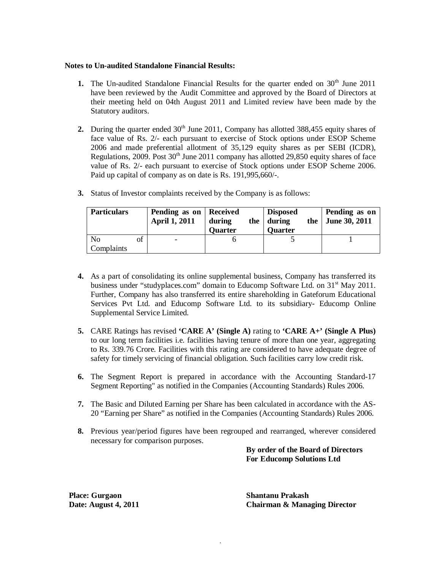### **Notes to Un-audited Standalone Financial Results:**

- **1.** The Un-audited Standalone Financial Results for the quarter ended on 30<sup>th</sup> June 2011 have been reviewed by the Audit Committee and approved by the Board of Directors at their meeting held on 04th August 2011 and Limited review have been made by the Statutory auditors.
- **2.** During the quarter ended 30<sup>th</sup> June 2011, Company has allotted 388,455 equity shares of face value of Rs. 2/- each pursuant to exercise of Stock options under ESOP Scheme 2006 and made preferential allotment of 35,129 equity shares as per SEBI (ICDR), Regulations, 2009. Post  $30<sup>th</sup>$  June 2011 company has allotted 29,850 equity shares of face value of Rs. 2/- each pursuant to exercise of Stock options under ESOP Scheme 2006. Paid up capital of company as on date is Rs. 191,995,660/-.

| <b>Particulars</b>     | Pending as on   Received<br><b>April 1, 2011</b> | during<br><b>Quarter</b> | <b>Disposed</b><br>the $\vert$ during<br><b>Quarter</b> | Pending as on<br>the $\vert$ June 30, 2011 |
|------------------------|--------------------------------------------------|--------------------------|---------------------------------------------------------|--------------------------------------------|
| of<br>No<br>Complaints |                                                  |                          |                                                         |                                            |

**3.** Status of Investor complaints received by the Company is as follows:

- **4.** As a part of consolidating its online supplemental business, Company has transferred its business under "studyplaces.com" domain to Educomp Software Ltd. on 31<sup>st</sup> May 2011. Further, Company has also transferred its entire shareholding in Gateforum Educational Services Pvt Ltd. and Educomp Software Ltd. to its subsidiary- Educomp Online Supplemental Service Limited.
- **5.** CARE Ratings has revised **'CARE A' (Single A)** rating to **'CARE A+' (Single A Plus)** to our long term facilities i.e. facilities having tenure of more than one year, aggregating to Rs. 339.76 Crore. Facilities with this rating are considered to have adequate degree of safety for timely servicing of financial obligation. Such facilities carry low credit risk.
- **6.** The Segment Report is prepared in accordance with the Accounting Standard-17 Segment Reporting" as notified in the Companies (Accounting Standards) Rules 2006.
- **7.** The Basic and Diluted Earning per Share has been calculated in accordance with the AS-20 "Earning per Share" as notified in the Companies (Accounting Standards) Rules 2006.
- **8.** Previous year/period figures have been regrouped and rearranged, wherever considered necessary for comparison purposes.

**By order of the Board of Directors For Educomp Solutions Ltd**

 **Place: Gurgaon Shantanu Prakash**

 **Date: August 4, 2011 Chairman & Managing Director**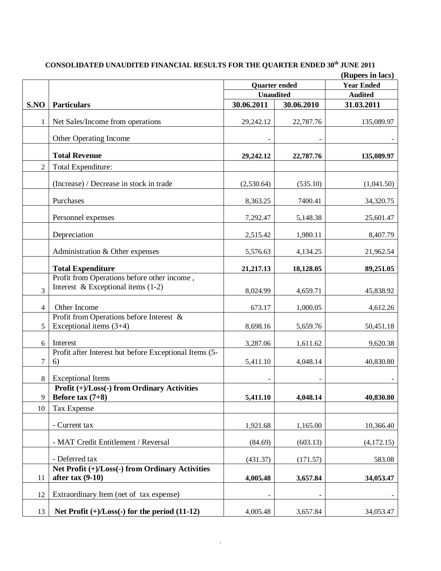# **CONSOLIDATED UNAUDITED FINANCIAL RESULTS FOR THE QUARTER ENDED 30th JUNE 2011**

|                |                                                                                     |                      |                   | (Rupees in lacs) |
|----------------|-------------------------------------------------------------------------------------|----------------------|-------------------|------------------|
|                |                                                                                     | <b>Quarter</b> ended | <b>Year Ended</b> |                  |
|                |                                                                                     | <b>Unaudited</b>     |                   | <b>Audited</b>   |
| S.NO           | <b>Particulars</b>                                                                  | 30.06.2011           | 30.06.2010        | 31.03.2011       |
| 1              | Net Sales/Income from operations                                                    | 29,242.12            | 22,787.76         | 135,089.97       |
|                | Other Operating Income                                                              |                      |                   |                  |
|                | <b>Total Revenue</b>                                                                | 29,242.12            | 22,787.76         | 135,089.97       |
| $\overline{2}$ | Total Expenditure:                                                                  |                      |                   |                  |
|                | (Increase) / Decrease in stock in trade                                             | (2,530.64)           | (535.10)          | (1,041.50)       |
|                | Purchases                                                                           | 8,363.25             | 7400.41           | 34,320.75        |
|                | Personnel expenses                                                                  | 7,292.47             | 5,148.38          | 25,601.47        |
|                | Depreciation                                                                        | 2,515.42             | 1,980.11          | 8,407.79         |
|                | Administration & Other expenses                                                     | 5,576.63             | 4,134.25          | 21,962.54        |
|                | <b>Total Expenditure</b>                                                            | 21,217.13            | 18,128.05         | 89,251.05        |
| 3              | Profit from Operations before other income,<br>Interest & Exceptional items $(1-2)$ | 8,024.99             | 4,659.71          | 45,838.92        |
| 4              | Other Income                                                                        | 673.17               | 1,000.05          | 4,612.26         |
| 5              | Profit from Operations before Interest $\&$<br>Exceptional items $(3+4)$            | 8,698.16             | 5,659.76          | 50,451.18        |
| 6              | Interest                                                                            | 3,287.06             | 1,611.62          | 9,620.38         |
| 7              | Profit after Interest but before Exceptional Items (5-<br>6)                        | 5,411.10             | 4,048.14          | 40,830.80        |
| 8              | <b>Exceptional Items</b>                                                            |                      |                   |                  |
|                | Profit (+)/Loss(-) from Ordinary Activities                                         |                      |                   |                  |
| 9              | Before tax $(7+8)$                                                                  | 5,411.10             | 4,048.14          | 40,830.80        |
| 10             | Tax Expense                                                                         |                      |                   |                  |
|                | - Current tax                                                                       | 1,921.68             | 1,165.00          | 10,366.40        |
|                | - MAT Credit Entitlement / Reversal                                                 | (84.69)              | (603.13)          | (4,172.15)       |
|                | - Deferred tax                                                                      | (431.37)             | (171.57)          | 583.08           |
| 11             | Net Profit (+)/Loss(-) from Ordinary Activities<br>after tax $(9-10)$               | 4,005.48             | 3,657.84          | 34,053.47        |
| 12             | Extraordinary Item (net of tax expense)                                             |                      |                   |                  |
| 13             | Net Profit $(+)/$ Loss $(-)$ for the period $(11-12)$                               | 4,005.48             | 3,657.84          | 34,053.47        |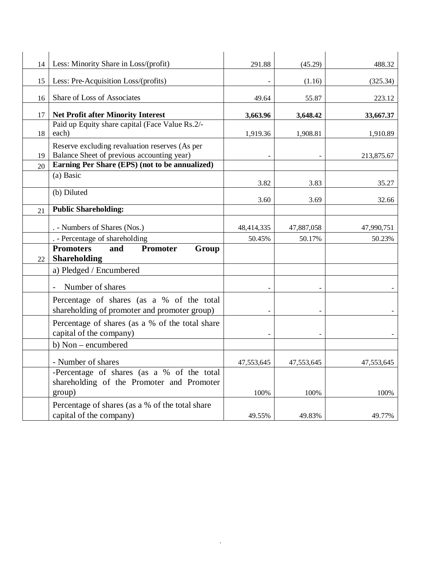| 14 | Less: Minority Share in Loss/(profit)                                                        | 291.88     | (45.29)    | 488.32     |
|----|----------------------------------------------------------------------------------------------|------------|------------|------------|
|    |                                                                                              |            |            |            |
| 15 | Less: Pre-Acquisition Loss/(profits)                                                         |            | (1.16)     | (325.34)   |
| 16 | Share of Loss of Associates                                                                  | 49.64      | 55.87      | 223.12     |
| 17 | <b>Net Profit after Minority Interest</b>                                                    | 3,663.96   | 3,648.42   | 33,667.37  |
|    | Paid up Equity share capital (Face Value Rs.2/-                                              |            |            |            |
| 18 | each)                                                                                        | 1,919.36   | 1,908.81   | 1,910.89   |
| 19 | Reserve excluding revaluation reserves (As per<br>Balance Sheet of previous accounting year) |            |            | 213,875.67 |
| 20 | Earning Per Share (EPS) (not to be annualized)                                               |            |            |            |
|    | (a) Basic                                                                                    | 3.82       | 3.83       | 35.27      |
|    | (b) Diluted                                                                                  |            |            |            |
|    | <b>Public Shareholding:</b>                                                                  | 3.60       | 3.69       | 32.66      |
| 21 |                                                                                              |            |            |            |
|    | . - Numbers of Shares (Nos.)                                                                 | 48,414,335 | 47,887,058 | 47,990,751 |
|    | . - Percentage of shareholding                                                               | 50.45%     | 50.17%     | 50.23%     |
|    | <b>Promoters</b><br>and<br><b>Promoter</b><br>Group                                          |            |            |            |
| 22 | <b>Shareholding</b>                                                                          |            |            |            |
|    | a) Pledged / Encumbered                                                                      |            |            |            |
|    | Number of shares                                                                             |            |            |            |
|    | Percentage of shares (as a % of the total                                                    |            |            |            |
|    | shareholding of promoter and promoter group)                                                 |            |            |            |
|    | Percentage of shares (as a % of the total share<br>capital of the company)                   |            |            |            |
|    | b) Non – encumbered                                                                          |            |            |            |
|    |                                                                                              |            |            |            |
|    | - Number of shares                                                                           | 47,553,645 | 47,553,645 | 47,553,645 |
|    | -Percentage of shares (as a % of the total<br>shareholding of the Promoter and Promoter      |            |            |            |
|    | group)                                                                                       | 100%       | 100%       | 100%       |
|    | Percentage of shares (as a % of the total share                                              |            |            |            |
|    | capital of the company)                                                                      | 49.55%     | 49.83%     | 49.77%     |
|    |                                                                                              |            |            |            |

.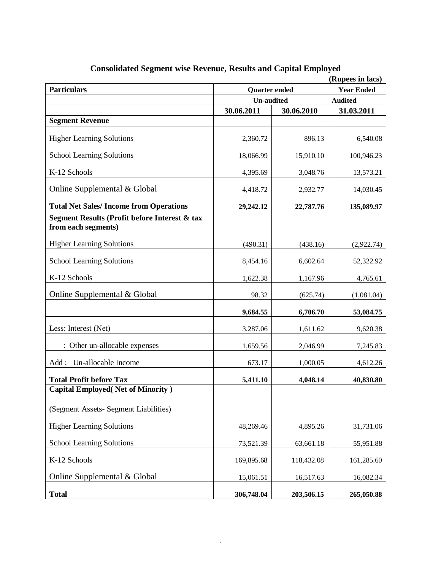| (Rupees in lacs)                                                     |                      |            |                   |
|----------------------------------------------------------------------|----------------------|------------|-------------------|
| <b>Particulars</b>                                                   | <b>Quarter</b> ended |            | <b>Year Ended</b> |
|                                                                      | <b>Un-audited</b>    |            | <b>Audited</b>    |
|                                                                      | 30.06.2011           | 30.06.2010 | 31.03.2011        |
| <b>Segment Revenue</b>                                               |                      |            |                   |
| <b>Higher Learning Solutions</b>                                     | 2,360.72             | 896.13     | 6,540.08          |
| <b>School Learning Solutions</b>                                     | 18,066.99            | 15,910.10  | 100,946.23        |
| K-12 Schools                                                         | 4,395.69             | 3,048.76   | 13,573.21         |
| Online Supplemental & Global                                         | 4,418.72             | 2,932.77   | 14,030.45         |
| <b>Total Net Sales/Income from Operations</b>                        | 29,242.12            | 22,787.76  | 135,089.97        |
| Segment Results (Profit before Interest & tax<br>from each segments) |                      |            |                   |
| <b>Higher Learning Solutions</b>                                     | (490.31)             | (438.16)   | (2,922.74)        |
| <b>School Learning Solutions</b>                                     | 8,454.16             | 6,602.64   | 52,322.92         |
| K-12 Schools                                                         | 1,622.38             | 1,167.96   | 4,765.61          |
| Online Supplemental & Global                                         | 98.32                | (625.74)   | (1,081.04)        |
|                                                                      | 9,684.55             | 6,706.70   | 53,084.75         |
| Less: Interest (Net)                                                 | 3,287.06             | 1,611.62   | 9,620.38          |
| : Other un-allocable expenses                                        | 1,659.56             | 2,046.99   | 7,245.83          |
| Un-allocable Income<br>Add:                                          | 673.17               | 1,000.05   | 4,612.26          |
| <b>Total Profit before Tax</b>                                       | 5,411.10             | 4,048.14   | 40,830.80         |
| <b>Capital Employed</b> (Net of Minority)                            |                      |            |                   |
| (Segment Assets- Segment Liabilities)                                |                      |            |                   |
| <b>Higher Learning Solutions</b>                                     | 48,269.46            | 4,895.26   | 31,731.06         |
| <b>School Learning Solutions</b>                                     | 73,521.39            | 63,661.18  | 55,951.88         |
| K-12 Schools                                                         | 169,895.68           | 118,432.08 | 161,285.60        |
| Online Supplemental & Global                                         | 15,061.51            | 16,517.63  | 16,082.34         |
| <b>Total</b>                                                         | 306,748.04           | 203,506.15 | 265,050.88        |

## **Consolidated Segment wise Revenue, Results and Capital Employed**